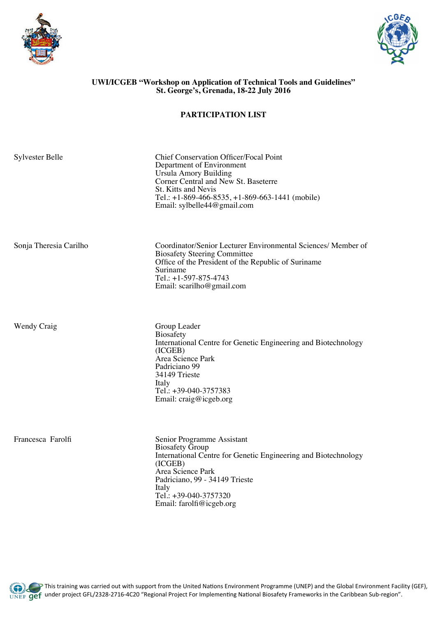



## **UWI/ICGEB "Workshop on Application of Technical Tools and Guidelines" St. George's, Grenada, 18-22 July 2016**

## **PARTICIPATION LIST**

| <b>Sylvester Belle</b> | <b>Chief Conservation Officer/Focal Point</b><br>Department of Environment<br><b>Ursula Amory Building</b><br>Corner Central and New St. Baseterre<br>St. Kitts and Nevis<br>Tel.: +1-869-466-8535, +1-869-663-1441 (mobile)<br>Email: sylbelle44@gmail.com |
|------------------------|-------------------------------------------------------------------------------------------------------------------------------------------------------------------------------------------------------------------------------------------------------------|
| Sonja Theresia Carilho | Coordinator/Senior Lecturer Environmental Sciences/ Member of<br><b>Biosafety Steering Committee</b><br>Office of the President of the Republic of Suriname<br>Suriname<br>Tel.: +1-597-875-4743<br>Email: scarilho@gmail.com                               |
| <b>Wendy Craig</b>     | Group Leader<br><b>Biosafety</b><br>International Centre for Genetic Engineering and Biotechnology<br>(ICGEB)<br>Area Science Park<br>Padriciano 99<br>34149 Trieste<br>Italy<br>Tel.: +39-040-3757383<br>Email: craig@icgeb.org                            |
| Francesca Farolfi      | Senior Programme Assistant<br><b>Biosafety Group</b><br>International Centre for Genetic Engineering and Biotechnology<br>(ICGEB)<br>Area Science Park<br>Padriciano, 99 - 34149 Trieste<br>Italy<br>Tel.: +39-040-3757320                                  |

Email: farolfi@icgeb.org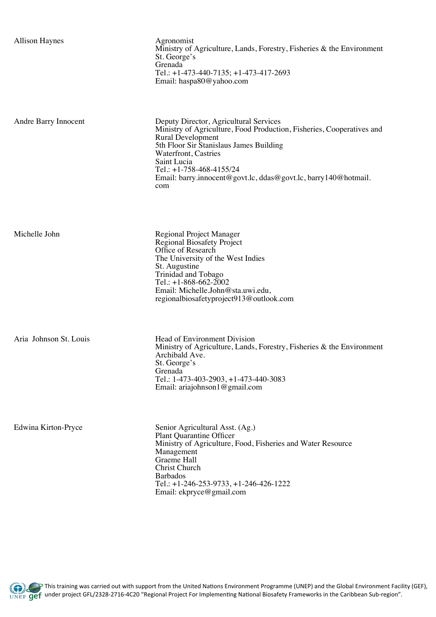| <b>Allison Haynes</b> |  |
|-----------------------|--|
|-----------------------|--|

Agronomist Ministry of Agriculture, Lands, Forestry, Fisheries & the Environment St. George's Grenada Tel.: +1-473-440-7135; +1-473-417-2693 Email: haspa80@yahoo.com

Andre Barry Innocent Deputy Director, Agricultural Services Ministry of Agriculture, Food Production, Fisheries, Cooperatives and Rural Development 5th Floor Sir Stanislaus James Building Waterfront, Castries Saint Lucia Tel.: +1-758-468-4155/24 Email: barry.innocent@govt.lc, ddas@govt.lc, barry140@hotmail. com

Regional Biosafety Project

The University of the West Indies

Email: Michelle.John@sta.uwi.edu,

regionalbiosafetyproject913@outlook.com

Office of Research

St. Augustine Trinidad and Tobago Tel.: +1-868-662-2002

Michelle John Regional Project Manager

Aria Johnson St. Louis **Head of Environment Division** Ministry of Agriculture, Lands, Forestry, Fisheries & the Environment Archibald Ave. St. George's Grenada Tel.: 1-473-403-2903, +1-473-440-3083 Email: ariajohnson1@gmail.com

Edwina Kirton-Pryce Senior Agricultural Asst. (Ag.) Plant Quarantine Officer Ministry of Agriculture, Food, Fisheries and Water Resource Management Graeme Hall Christ Church Barbados Tel.: +1-246-253-9733, +1-246-426-1222 Email: ekpryce@gmail.com

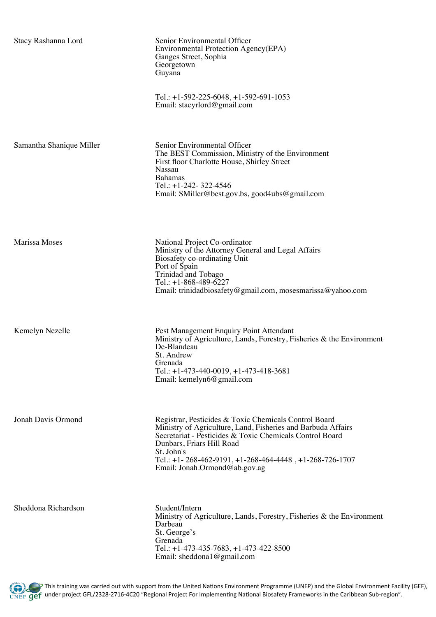| Stacy Rashanna Lord      | Senior Environmental Officer<br>Environmental Protection Agency(EPA)<br>Ganges Street, Sophia<br>Georgetown<br>Guyana                                                                                                                                                                                                    |
|--------------------------|--------------------------------------------------------------------------------------------------------------------------------------------------------------------------------------------------------------------------------------------------------------------------------------------------------------------------|
|                          | Tel.: $+1-592-225-6048$ , $+1-592-691-1053$<br>Email: stacyrlord@gmail.com                                                                                                                                                                                                                                               |
| Samantha Shanique Miller | Senior Environmental Officer<br>The BEST Commission, Ministry of the Environment<br>First floor Charlotte House, Shirley Street<br><b>Nassau</b><br><b>Bahamas</b><br>Tel.: $+1-242-322-4546$<br>Email: SMiller@best.gov.bs, good4ubs@gmail.com                                                                          |
| <b>Marissa Moses</b>     | National Project Co-ordinator<br>Ministry of the Attorney General and Legal Affairs<br>Biosafety co-ordinating Unit<br>Port of Spain<br>Trinidad and Tobago<br>Tel.: $+1-868-489-6227$<br>Email: trinidadbiosafety@gmail.com, mosesmarissa@yahoo.com                                                                     |
| Kemelyn Nezelle          | Pest Management Enquiry Point Attendant<br>Ministry of Agriculture, Lands, Forestry, Fisheries & the Environment<br>De-Blandeau<br>St. Andrew<br>Grenada<br>Tel.: $+1-473-440-0019$ , $+1-473-418-3681$<br>Email: kemelyn6@gmail.com                                                                                     |
| Jonah Davis Ormond       | Registrar, Pesticides & Toxic Chemicals Control Board<br>Ministry of Agriculture, Land, Fisheries and Barbuda Affairs<br>Secretariat - Pesticides & Toxic Chemicals Control Board<br>Dunbars, Friars Hill Road<br>St. John's<br>Tel.: +1-268-462-9191, +1-268-464-4448, +1-268-726-1707<br>Email: Jonah.Ormond@ab.gov.ag |
| Sheddona Richardson      | Student/Intern<br>Ministry of Agriculture, Lands, Forestry, Fisheries & the Environment<br>Darbeau<br>St. George's<br>Grenada<br>Tel.: $+1-473-435-7683$ , $+1-473-422-8500$<br>Email: sheddona1@gmail.com                                                                                                               |

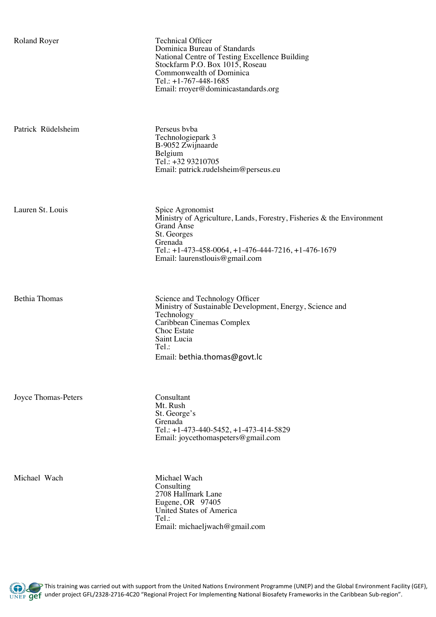| <b>Roland Royer</b>  | <b>Technical Officer</b><br>Dominica Bureau of Standards<br>National Centre of Testing Excellence Building<br>Stockfarm P.O. Box 1015, Roseau<br>Commonwealth of Dominica<br>Tel.: $+1-767-448-1685$<br>Email: rroyer@dominicastandards.org |
|----------------------|---------------------------------------------------------------------------------------------------------------------------------------------------------------------------------------------------------------------------------------------|
| Patrick Rüdelsheim   | Perseus byba<br>Technologiepark 3<br>B-9052 Zwijnaarde<br>Belgium<br>Tel.: +32 93210705<br>Email: patrick.rudelsheim@perseus.eu                                                                                                             |
| Lauren St. Louis     | Spice Agronomist<br>Ministry of Agriculture, Lands, Forestry, Fisheries $\&$ the Environment<br>Grand Anse<br>St. Georges<br>Grenada<br>Tel.: +1-473-458-0064, +1-476-444-7216, +1-476-1679<br>Email: laurenstlouis@gmail.com               |
| <b>Bethia Thomas</b> | Science and Technology Officer<br>Ministry of Sustainable Development, Energy, Science and<br>Technology<br>Caribbean Cinemas Complex<br>Choc Estate<br>Saint Lucia<br>Tel.:<br>Email: bethia.thomas@govt.lc                                |

Joyce Thomas-Peters Consultant Mt. Rush St. George's Grenada Tel.: +1-473-440-5452, +1-473-414-5829 Email: joycethomaspeters@gmail.com

Michael Wach Michael Wach **Consulting** 2708 Hallmark Lane Eugene, OR 97405 United States of America Tel.: Email: michaeljwach@gmail.com